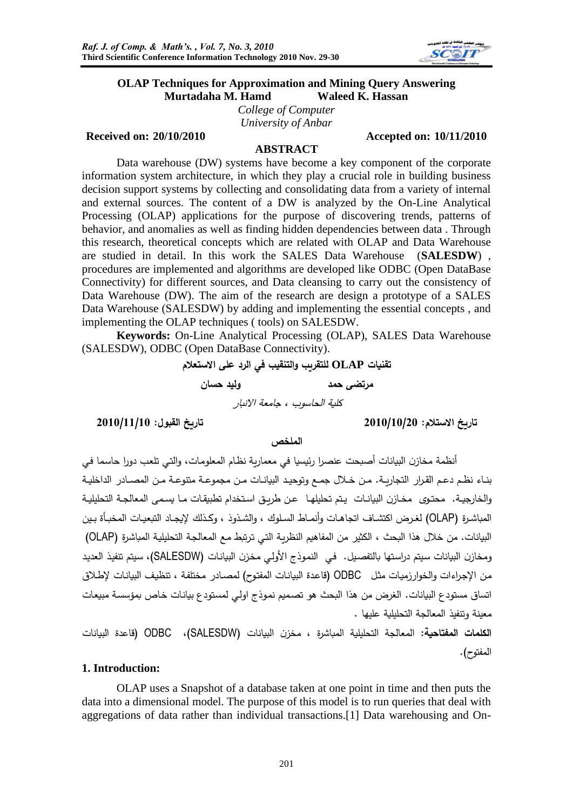

## **OLAP Techniques for Approximation and Mining Query Answering Murtadaha M. Hamd Waleed K. Hassan**

*College of Computer University of Anbar*

#### **Received on: 20/10/2010 Accepted on: 10/11/2010**

#### **ABSTRACT**

Data warehouse (DW) systems have become a key component of the corporate information system architecture, in which they play a crucial role in building business decision support systems by collecting and consolidating data from a variety of internal and external sources. The content of a DW is analyzed by the On-Line Analytical Processing (OLAP) applications for the purpose of discovering trends, patterns of behavior, and anomalies as well as finding hidden dependencies between data . Through this research, theoretical concepts which are related with OLAP and Data Warehouse are studied in detail. In this work the SALES Data Warehouse (**SALESDW**) , procedures are implemented and algorithms are developed like ODBC (Open DataBase Connectivity) for different sources, and Data cleansing to carry out the consistency of Data Warehouse (DW). The aim of the research are design a prototype of a SALES Data Warehouse (SALESDW) by adding and implementing the essential concepts , and implementing the OLAP techniques ( tools) on SALESDW.

**Keywords:** On-Line Analytical Processing (OLAP), SALES Data Warehouse (SALESDW), ODBC (Open DataBase Connectivity).

**تقنيات OLAP للتقريب والتنقيب في الرد على االستعالم** 

**مرتضى حمد وليد حسان**

كلية الحاسوب ، جامعة االنبار

**تاريخ االستالم: 2010/10/20 تاريخ القبول: 2010/11/10**

**الملخص**

أنظمة مخازن البيانات أصبحت عنصرا رئيسيا في معمارية نظام المعلومات، والتي تلعب دورا حاسما في بناء نظم دعم القرار التجاريـة. مـن خـلال جمـع وتوحيد البيانـات مـن مجموعـة متنوعـة مـن المصــادر الداخليـة والخارجية. محتوى مخازن البيانات يتم تحليلها عن طريق استخدام تطبيقات ما يسمى المعالجة التحليلية المباشرة (OLAP) لغرض اكتشاف اتجاهات وأنماط السلوك ، والشذوذ ، وكذلك لإيجاد التبعيات المخبأة بين البيانات. من خلال هذا البحث ، الكثير من المفاهيم النظرية التي ترتبط مع المعالجة التحليلية المباشرة (OLAP) ومخازن البيانات سيتم دراستها بالتفصيل. في النموذج الأولى مخزن البيانات (SALESDW)، سيتم تنفيذ العديد من الإجراءات والخوارزميات مثل ODBC (قاعدة البيانات المفتوح) لمصـادر مختلفة ، تنظيف البيانات لإطـلاق اتساق مستودع البيانات. الغرض من هذا البحث هو تصميم نموذج اولى لمستودع بيانات خاص بمؤسسة مبيعات معينة وتنفذ المعالجة التحليلية عليها .

ا**لكلمات المفتاحية:** المعالجة التحليلية المباشرة ، مخزن البيانات (SALESDW)، ODBC (قاعدة البيانات المفتوح).

## **1. Introduction:**

OLAP uses a Snapshot of a database taken at one point in time and then puts the data into a dimensional model. The purpose of this model is to run queries that deal with aggregations of data rather than individual transactions.[1] Data warehousing and On-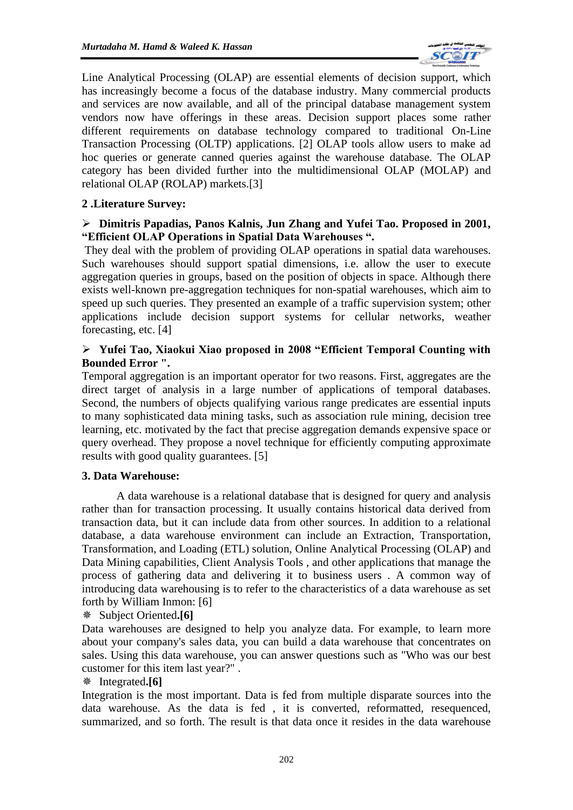

Line Analytical Processing (OLAP) are essential elements of decision support, which has increasingly become a focus of the database industry. Many commercial products and services are now available, and all of the principal database management system vendors now have offerings in these areas. Decision support places some rather different requirements on database technology compared to traditional On-Line Transaction Processing (OLTP) applications. [2] OLAP tools allow users to make ad hoc queries or generate canned queries against the warehouse database. The OLAP category has been divided further into the multidimensional OLAP (MOLAP) and relational OLAP (ROLAP) markets.[3]

## **2 .Literature Survey:**

## ➢ **Dimitris Papadias, Panos Kalnis, Jun Zhang and Yufei Tao. Proposed in 2001, "Efficient OLAP Operations in Spatial Data Warehouses ".**

They deal with the problem of providing OLAP operations in spatial data warehouses. Such warehouses should support spatial dimensions, i.e. allow the user to execute aggregation queries in groups, based on the position of objects in space. Although there exists well-known pre-aggregation techniques for non-spatial warehouses, which aim to speed up such queries. They presented an example of a traffic supervision system; other applications include decision support systems for cellular networks, weather forecasting, etc. [4]

## ➢ **Yufei Tao, Xiaokui Xiao proposed in 2008 "Efficient Temporal Counting with Bounded Error ".**

Temporal aggregation is an important operator for two reasons. First, aggregates are the direct target of analysis in a large number of applications of temporal databases. Second, the numbers of objects qualifying various range predicates are essential inputs to many sophisticated data mining tasks, such as association rule mining, decision tree learning, etc. motivated by the fact that precise aggregation demands expensive space or query overhead. They propose a novel technique for efficiently computing approximate results with good quality guarantees. [5]

## **3. Data Warehouse:**

A data warehouse is a relational database that is designed for query and analysis rather than for transaction processing. It usually contains historical data derived from transaction data, but it can include data from other sources. In addition to a relational database, a data warehouse environment can include an Extraction, Transportation, Transformation, and Loading (ETL) solution, Online Analytical Processing (OLAP) and Data Mining capabilities, Client Analysis Tools , and other applications that manage the process of gathering data and delivering it to business users . A common way of introducing data warehousing is to refer to the characteristics of a data warehouse as set forth by William Inmon: [6]

## Subject Oriented**.[6]**

Data warehouses are designed to help you analyze data. For example, to learn more about your company's sales data, you can build a data warehouse that concentrates on sales. Using this data warehouse, you can answer questions such as "Who was our best customer for this item last year?" .

## Integrated**.[6]**

Integration is the most important. Data is fed from multiple disparate sources into the data warehouse. As the data is fed , it is converted, reformatted, resequenced, summarized, and so forth. The result is that data once it resides in the data warehouse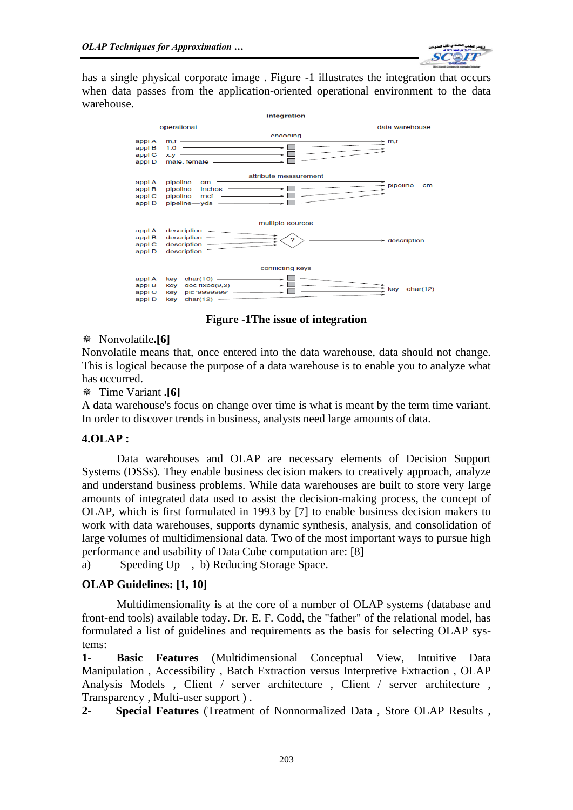

has a single physical corporate image . Figure -1 illustrates the integration that occurs when data passes from the application-oriented operational environment to the data warehouse.



**Figure -1The issue of integration**

# Nonvolatile**.[6]**

Nonvolatile means that, once entered into the data warehouse, data should not change. This is logical because the purpose of a data warehouse is to enable you to analyze what has occurred.

## Time Variant **.[6]**

A data warehouse's focus on change over time is what is meant by the term time variant. In order to discover trends in business, analysts need large amounts of data.

# **4.OLAP :**

Data warehouses and OLAP are necessary elements of Decision Support Systems (DSSs). They enable business decision makers to creatively approach, analyze and understand business problems. While data warehouses are built to store very large amounts of integrated data used to assist the decision-making process, the concept of OLAP, which is first formulated in 1993 by [7] to enable business decision makers to work with data warehouses, supports dynamic synthesis, analysis, and consolidation of large volumes of multidimensional data. Two of the most important ways to pursue high performance and usability of Data Cube computation are: [8]

a) Speeding Up , b) Reducing Storage Space.

# **OLAP Guidelines: [1, 10]**

Multidimensionality is at the core of a number of OLAP systems (database and front-end tools) available today. Dr. E. F. Codd, the "father" of the relational model, has formulated a list of guidelines and requirements as the basis for selecting OLAP systems:

**1- Basic Features** (Multidimensional Conceptual View, Intuitive Data Manipulation , Accessibility , Batch Extraction versus Interpretive Extraction , OLAP Analysis Models , Client / server architecture , Client / server architecture , Transparency , Multi-user support ) .

**2- Special Features** (Treatment of Nonnormalized Data , Store OLAP Results ,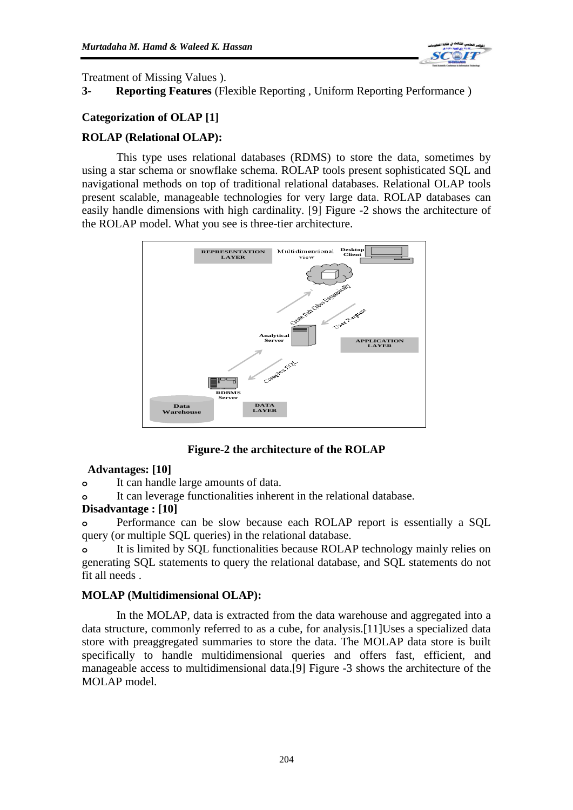

Treatment of Missing Values ).

# **3- Reporting Features** (Flexible Reporting , Uniform Reporting Performance )

## **Categorization of OLAP [1]**

## **ROLAP (Relational OLAP):**

This type uses relational databases (RDMS) to store the data, sometimes by using a star schema or snowflake schema. ROLAP tools present sophisticated SQL and navigational methods on top of traditional relational databases. Relational OLAP tools present scalable, manageable technologies for very large data. ROLAP databases can easily handle dimensions with high cardinality. [9] Figure -2 shows the architecture of the ROLAP model. What you see is three-tier architecture.



**Figure-2 the architecture of the ROLAP**

## **Advantages: [10]**

**o** It can handle large amounts of data.

**o** It can leverage functionalities inherent in the relational database.

## **Disadvantage : [10]**

**o** Performance can be slow because each ROLAP report is essentially a SQL query (or multiple SQL queries) in the relational database.

**o** It is limited by SQL functionalities because ROLAP technology mainly relies on generating SQL statements to query the relational database, and SQL statements do not fit all needs .

## **MOLAP (Multidimensional OLAP):**

In the MOLAP, data is extracted from the data warehouse and aggregated into a data structure, commonly referred to as a cube, for analysis.[11]Uses a specialized data store with preaggregated summaries to store the data. The MOLAP data store is built specifically to handle multidimensional queries and offers fast, efficient, and manageable access to multidimensional data.[9] Figure -3 shows the architecture of the MOLAP model.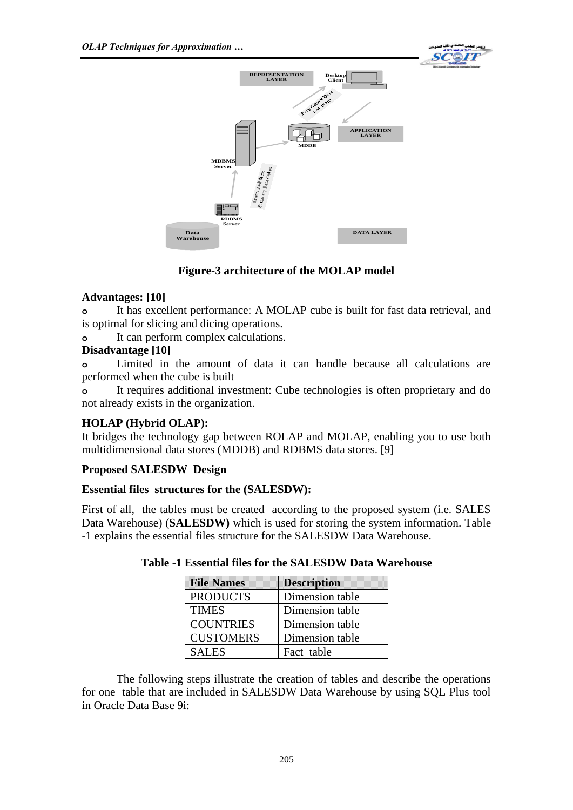



# **Figure-3 architecture of the MOLAP model**

## **Advantages: [10]**

**o** It has excellent performance: A MOLAP cube is built for fast data retrieval, and is optimal for slicing and dicing operations.

**o** It can perform complex calculations.

## **Disadvantage [10]**

**o** Limited in the amount of data it can handle because all calculations are performed when the cube is built

**o** It requires additional investment: Cube technologies is often proprietary and do not already exists in the organization.

# **HOLAP (Hybrid OLAP):**

It bridges the technology gap between ROLAP and MOLAP, enabling you to use both multidimensional data stores (MDDB) and RDBMS data stores. [9]

## **Proposed SALESDW Design**

# **Essential files structures for the (SALESDW):**

First of all, the tables must be created according to the proposed system (i.e. SALES Data Warehouse) (**SALESDW)** which is used for storing the system information. Table -1 explains the essential files structure for the SALESDW Data Warehouse.

| <b>File Names</b> | <b>Description</b> |
|-------------------|--------------------|
| <b>PRODUCTS</b>   | Dimension table    |
| <b>TIMES</b>      | Dimension table    |
| <b>COUNTRIES</b>  | Dimension table    |
| <b>CUSTOMERS</b>  | Dimension table    |
| <b>SALES</b>      | Fact table         |

## **Table -1 Essential files for the SALESDW Data Warehouse**

The following steps illustrate the creation of tables and describe the operations for one table that are included in SALESDW Data Warehouse by using SQL Plus tool in Oracle Data Base 9i: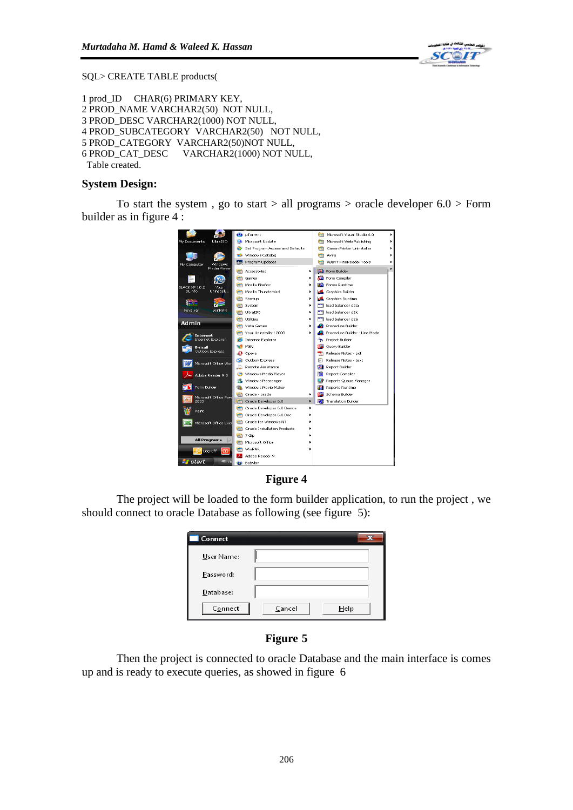

SQL> CREATE TABLE products(

```
1 prod_ID CHAR(6) PRIMARY KEY,
2 PROD_NAME VARCHAR2(50) NOT NULL,
3 PROD_DESC VARCHAR2(1000) NOT NULL,
4 PROD_SUBCATEGORY VARCHAR2(50) NOT NULL,
5 PROD_CATEGORY VARCHAR2(50)NOT NULL,
6 PROD_CAT_DESC VARCHAR2(1000) NOT NULL,
 Table created.
```
#### **System Design:**

To start the system, go to start  $>$  all programs  $>$  oracle developer 6.0  $>$  Form builder as in figure 4 :





The project will be loaded to the form builder application, to run the project , we should connect to oracle Database as following (see figure 5):

| <b>Connect</b> | x              |  |
|----------------|----------------|--|
| User Name:     |                |  |
| Password:      |                |  |
| Database:      |                |  |
| Connect        | Cancel<br>Help |  |

#### **Figure 5**

Then the project is connected to oracle Database and the main interface is comes up and is ready to execute queries, as showed in figure 6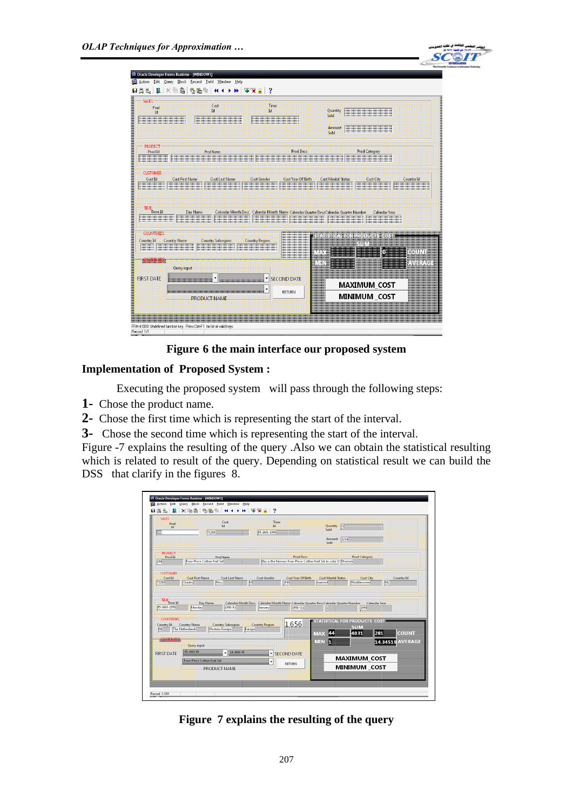

| 4d                                                                       | Cust<br>Id                                               | Time<br>Td <sup>2</sup>                                                              |                           | Quantity<br>Sold<br>Amount<br>Sold     | <u> Harrison (Harrison Harrison)</u> |              |
|--------------------------------------------------------------------------|----------------------------------------------------------|--------------------------------------------------------------------------------------|---------------------------|----------------------------------------|--------------------------------------|--------------|
| <b>PRODECT</b><br>Prod Id                                                | Prod Name                                                |                                                                                      | Prod Desc                 |                                        | <b>Prod Category</b>                 |              |
| <b>CUSTOMER</b><br>Cust Id                                               | <b>Cust First Name</b><br><b>Cust Last Name</b>          | <b>Cust Gender</b>                                                                   | <b>Cust Year Of Birth</b> | <b>Cust Marital Status</b>             | Cust City                            | Country Id   |
| $\overline{\text{TIME}}\text{Time Id}$                                   | Day Name<br><b>                                 </b><br> | Calendar Month Desc Calendar Month Name Calendar Quarter DescCalendar Quarter Number |                           |                                        | Calendar Year                        |              |
|                                                                          |                                                          |                                                                                      |                           |                                        |                                      |              |
| <b>COUNTERIES</b><br><b>Country Name</b><br>Country Id<br><b>QUERIES</b> | <b>Country Subregion</b>                                 | <b>Country Region</b>                                                                | INEVA                     | STATISTICAL FOR PRODUCTS COST<br>30 IV | m                                    | <b>ROUND</b> |

**Figure 6 the main interface our proposed system**

# **Implementation of Proposed System :**

Executing the proposed system will pass through the following steps:

**1-** Chose the product name.

**2-** Chose the first time which is representing the start of the interval.

**3-** Chose the second time which is representing the start of the interval.

Figure -7 explains the resulting of the query .Also we can obtain the statistical resulting which is related to result of the query. Depending on statistical result we can build the DSS that clarify in the figures 8.

| SALES<br>Prod<br>Id.<br>                            | Cust<br>Id<br>73280                                                                                                                           | Time<br>Id.<br>05-JAN-1998 !!!!!!!!!!!!!!!!!!!                                       | 33<br><b>Quantity</b><br>Sold<br>3234<br>Amount<br>Sold                                                                              |                                            |
|-----------------------------------------------------|-----------------------------------------------------------------------------------------------------------------------------------------------|--------------------------------------------------------------------------------------|--------------------------------------------------------------------------------------------------------------------------------------|--------------------------------------------|
| <b>PRODECT</b><br>Prod Id                           | <b>Prod Name</b><br>Four-Piece Cotton Knit Setillillillill                                                                                    | Prod Desc                                                                            | <b>Prod Category</b>                                                                                                                 |                                            |
| <b>CUSTOMER</b><br>Cust Id-<br>73280 1111 1111 1111 | <b>Cust First Name</b><br>Cust Last Name<br>Ness                                                                                              | Cust Gender-<br>Cust Year Of Birth<br>MILLION                                        | <b>Cust Marital Status</b><br><b>Cust City</b><br>married: 1999<br><b>Waddinxveen</b>                                                | <b>Country Id</b><br><b>NL</b>             |
| $\frac{7 \text{m/s}}{7 \text{m/s} \cdot \text{m}}$  | Day Name                                                                                                                                      | Calendar Month Desc Calendar Month Name Calendar Quarter DescCalendar Quarter Number |                                                                                                                                      | Calendar Year                              |
| <b>COUNTERIES</b><br>Country Id<br><b>OUERIES:</b>  | 05-JAN-1998 Monday 1998-01<br><b>Country Subregion</b><br>Country Name<br>Western Europe   Europe<br>NL The Netherlands<br><b>Ouery input</b> | January 1998-Q1<br>1.656<br><b>Country Region</b>                                    | <b>Junnament Service Service</b><br>mmill<br>STATISTICAL FOR PRODUCTS, COST<br><b>COLLY</b><br>M<br>4031<br>MAS.<br><b>IMIN</b><br>п | 281<br>сонги<br><b>AVERAGE</b><br>14.34519 |

**Figure 7 explains the resulting of the query**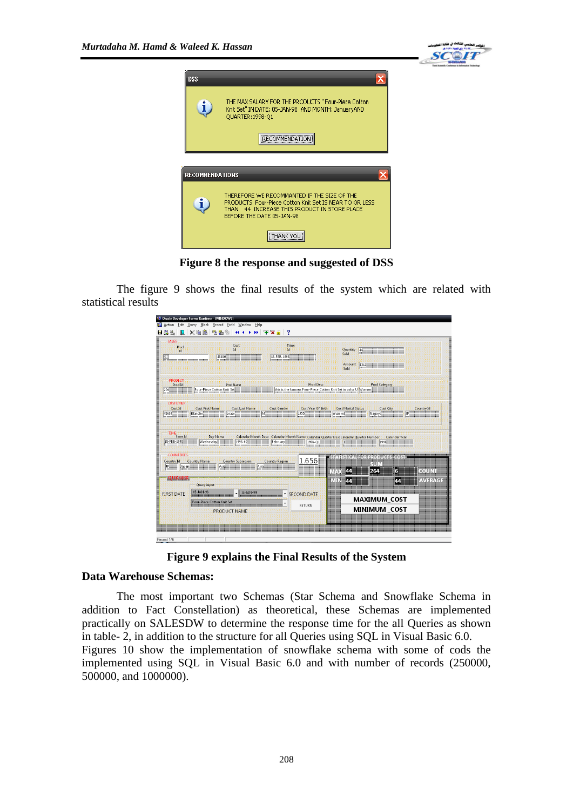



**Figure 8 the response and suggested of DSS**

The figure 9 shows the final results of the system which are related with statistical results

| Prod<br>4d.                                                                 | Cust<br><b>Id</b>                                                               | <b>Time</b><br>Td                                                                                                                                                                                                                                                           | <b>Ouantity</b><br>Sold<br><b>Amount</b><br>Sold | 4312                                                                     |            |
|-----------------------------------------------------------------------------|---------------------------------------------------------------------------------|-----------------------------------------------------------------------------------------------------------------------------------------------------------------------------------------------------------------------------------------------------------------------------|--------------------------------------------------|--------------------------------------------------------------------------|------------|
| <b>PRODECT</b><br>Prod Id<br>290                                            | Prod Name                                                                       | <b>Prod Desc</b><br>this is the famous Four-Piece Cotton Knit Set in color U Women with the set of the Set of Manus and Manus and Manus and Manus and Manus and Manus and Manus and Manus and Manus and Manus and Manus and Manus and Manus and Ma                          |                                                  | Prod Category                                                            |            |
| <b>CUSTOMER</b><br>Cust Id-<br>48680 77<br>                                 | Cust Last Name<br>Cust First Mainte<br>Lease M.<br>Blanche                      | <b>Cust Gender</b><br>Cust Year Of Birth<br>1955 - 1955 - 1955 - 1955 - 1955 - 1955 - 1956 - 1956 - 1956 - 1956 - 1956 - 1956 - 1956 - 1956 - 1956 - 1956 - 1956 - 1956 - 1956 - 1956 - 1956 - 1956 - 1956 - 1956 - 1956 - 1956 - 1956 - 1956 - 1956 - 1956 - 1956 - 1957 - | <b>Cust Marital Status</b><br>married            | Cust City<br>Nagova                                                      | Country Id |
|                                                                             |                                                                                 |                                                                                                                                                                                                                                                                             |                                                  |                                                                          |            |
| <b>TIME</b><br>Time Id                                                      | Day Name<br>$1993 - 02$<br>Wednesday                                            | Calendar Month Desc Calendar Month Name Calendar Ouarter DescCalendar Ouarter Number Calendar Year<br>February<br>1998-Q1                                                                                                                                                   |                                                  | 1998                                                                     |            |
| 18-FEB-1998 111111111111<br><b>COUNTERIES</b><br><b>Country Id</b><br>Japan | <b>Country Name</b><br><b>Country Subregion</b><br>Asia <b>Marchant</b><br>Asia | 1.656<br><b>Country Region</b>                                                                                                                                                                                                                                              | 44<br>NEST                                       | ka wana matao amin'ny faritr'ora dia mandra dia 1970.<br>SUN<br>264<br>G | солт       |

**Figure 9 explains the Final Results of the System**

#### **Data Warehouse Schemas:**

The most important two Schemas (Star Schema and Snowflake Schema in addition to Fact Constellation) as theoretical, these Schemas are implemented practically on SALESDW to determine the response time for the all Queries as shown in table- 2, in addition to the structure for all Queries using SQL in Visual Basic 6.0. Figures 10 show the implementation of snowflake schema with some of cods the implemented using SQL in Visual Basic 6.0 and with number of records (250000, 500000, and 1000000).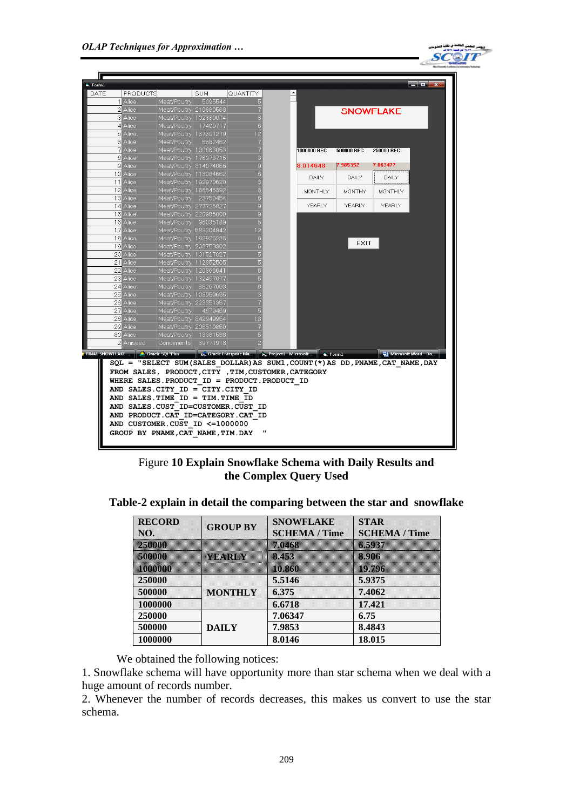

|          | PRODUCTS  |                        | <b>SUM</b> | QUANTITY |             |             |                  |
|----------|-----------|------------------------|------------|----------|-------------|-------------|------------------|
|          | 1 Alice   | Meat/Poultry           | 5095544    |          |             |             |                  |
|          | 2 Alice   | Meat/Poultry 210680563 |            |          |             |             | <b>SNOWFLAKE</b> |
|          | 3 Alice   | Meat/Poultry 102839074 |            |          |             |             |                  |
|          | 4 Alice   | Meat/Poultry 17400717  |            |          |             |             |                  |
|          | 5 Alice   | Meat/Poultry 137391279 |            |          |             |             |                  |
|          | 6 Alice   | Meat/Poultry           | 5582462    |          |             |             |                  |
|          | 7 Alice   | Meat/Poultry 130863053 |            |          | 1000000 REC | 500000 REC  | 250000 REC       |
|          | 8 Alice   | Meat/Poultry 176978715 |            |          |             |             |                  |
|          | 9 Alice   | Meat/Poultry 314074056 |            |          | 8.014648    | 7.985352    | 7.063477         |
| 10 Alice |           | Meat/Poultry 113084662 |            |          | DAILY       | DAILY       | DAILY            |
|          | 11 Alice  | Meat/Poultry 192970620 |            |          |             |             |                  |
|          | 12 Alice  | Meat/Poultry 188546392 |            |          | MONTHLY     | MONTHY      | MONTHLY          |
|          | 13 Alice  | Meat/Poultry 23750454  |            |          |             |             |                  |
|          | 14 Alice  | Meat/Poultry 277726827 |            |          | YEARLY      | YEARLY      | YEARLY           |
|          | 15 Alice  | Meat/Poultry 220986000 |            |          |             |             |                  |
| 16 Alice |           | Meat/Poultry 96035189  |            | 5        |             |             |                  |
|          | 17 Alice  | Meat/Poultry 583204942 |            |          |             |             |                  |
|          | 18 Alice  | Meat/Poultry 182925238 |            | 6        |             | <b>EXIT</b> |                  |
|          | 19 Alice  | Meat/Poultry 203759302 |            |          |             |             |                  |
|          | 20 Alice  | Meat/Poultry 101527827 |            |          |             |             |                  |
|          | 21 Alice  | Meat/Poultry 112852505 |            |          |             |             |                  |
|          | 22 Alice  | Meat/Poultry 120866641 |            |          |             |             |                  |
|          | 23 Alice  | Meat/Poultry 132497077 |            |          |             |             |                  |
|          | 24 Alice  | Meat/Poultry 88267063  |            |          |             |             |                  |
|          | 25 Alice  | Meat/Poultry 103959695 |            |          |             |             |                  |
|          | 26 Alice  | Meat/Poultry 223351367 |            |          |             |             |                  |
|          | 27 Alice  | Meat/Poultry           | 4879469    |          |             |             |                  |
|          | 28 Alice  | Meat/Poultry 342949954 |            |          |             |             |                  |
|          | 29 Alice  | Meat/Poultry 206510850 |            |          |             |             |                  |
|          | 30 Alice  | Meat/Poultry           | 13381588   |          |             |             |                  |
|          | 2 Aniseed | Condiments             | 89771913   |          |             |             |                  |

Figure **10 Explain Snowflake Schema with Daily Results and the Complex Query Used** 

| <b>RECORD</b><br>NO. | <b>GROUP BY</b> | <b>SNOWFLAKE</b><br><b>SCHEMA / Time</b> | <b>STAR</b><br><b>SCHEMA / Time</b> |
|----------------------|-----------------|------------------------------------------|-------------------------------------|
| 23000                |                 | men                                      | a an a                              |
| 5000                 | n an Com        | m                                        |                                     |
| mmm                  |                 | men                                      | idida                               |
| 250000               |                 | 5.5146                                   | 5.9375                              |
| 500000               | <b>MONTHLY</b>  | 6.375                                    | 7.4062                              |
| 1000000              |                 | 6.6718                                   | 17.421                              |
| 250000               |                 | 7.06347                                  | 6.75                                |
| 500000               | <b>DAILY</b>    | 7.9853                                   | 8.4843                              |
| 1000000              |                 | 8.0146                                   | 18.015                              |

**Table-2 explain in detail the comparing between the star and snowflake**

#### We obtained the following notices:

1. Snowflake schema will have opportunity more than star schema when we deal with a huge amount of records number.

2. Whenever the number of records decreases, this makes us convert to use the star schema.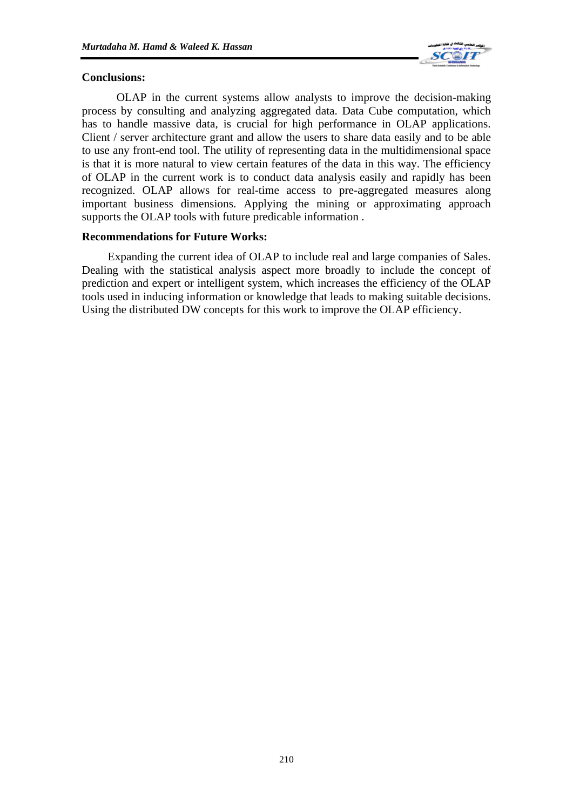

#### **Conclusions:**

OLAP in the current systems allow analysts to improve the decision-making process by consulting and analyzing aggregated data. Data Cube computation, which has to handle massive data, is crucial for high performance in OLAP applications. Client / server architecture grant and allow the users to share data easily and to be able to use any front-end tool. The utility of representing data in the multidimensional space is that it is more natural to view certain features of the data in this way. The efficiency of OLAP in the current work is to conduct data analysis easily and rapidly has been recognized. OLAP allows for real-time access to pre-aggregated measures along important business dimensions. Applying the mining or approximating approach supports the OLAP tools with future predicable information .

#### **Recommendations for Future Works:**

Expanding the current idea of OLAP to include real and large companies of Sales. Dealing with the statistical analysis aspect more broadly to include the concept of prediction and expert or intelligent system, which increases the efficiency of the OLAP tools used in inducing information or knowledge that leads to making suitable decisions. Using the distributed DW concepts for this work to improve the OLAP efficiency.